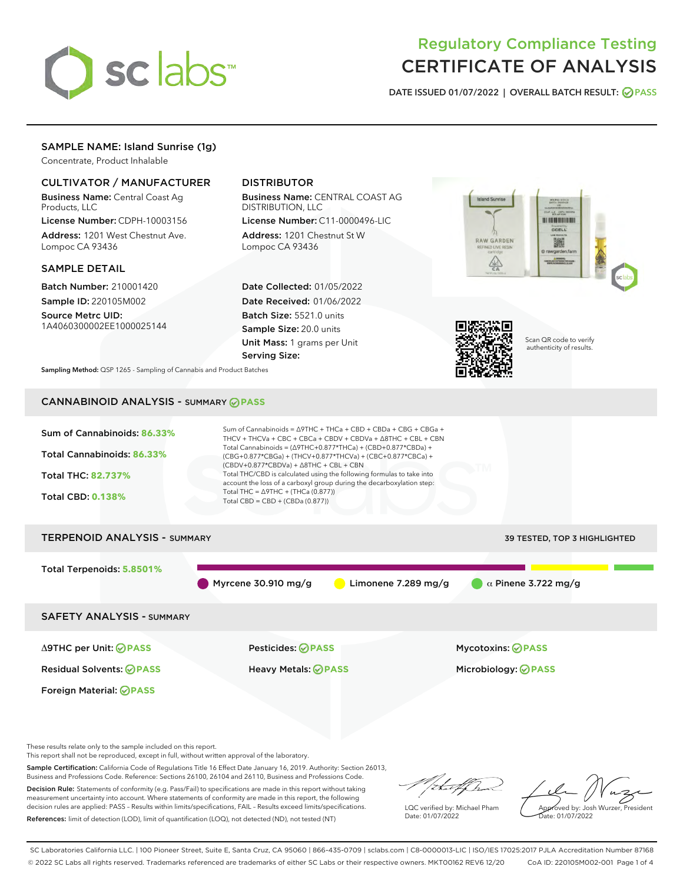

# Regulatory Compliance Testing CERTIFICATE OF ANALYSIS

DATE ISSUED 01/07/2022 | OVERALL BATCH RESULT: @ PASS

# SAMPLE NAME: Island Sunrise (1g)

Concentrate, Product Inhalable

# CULTIVATOR / MANUFACTURER

Business Name: Central Coast Ag Products, LLC

License Number: CDPH-10003156 Address: 1201 West Chestnut Ave. Lompoc CA 93436

#### SAMPLE DETAIL

Batch Number: 210001420 Sample ID: 220105M002

Source Metrc UID: 1A4060300002EE1000025144

# DISTRIBUTOR

Business Name: CENTRAL COAST AG DISTRIBUTION, LLC

License Number: C11-0000496-LIC Address: 1201 Chestnut St W Lompoc CA 93436

Date Collected: 01/05/2022 Date Received: 01/06/2022 Batch Size: 5521.0 units Sample Size: 20.0 units Unit Mass: 1 grams per Unit Serving Size:





Scan QR code to verify authenticity of results.

Sampling Method: QSP 1265 - Sampling of Cannabis and Product Batches

# CANNABINOID ANALYSIS - SUMMARY **PASS**



These results relate only to the sample included on this report.

This report shall not be reproduced, except in full, without written approval of the laboratory.

Sample Certification: California Code of Regulations Title 16 Effect Date January 16, 2019. Authority: Section 26013, Business and Professions Code. Reference: Sections 26100, 26104 and 26110, Business and Professions Code.

Decision Rule: Statements of conformity (e.g. Pass/Fail) to specifications are made in this report without taking measurement uncertainty into account. Where statements of conformity are made in this report, the following decision rules are applied: PASS – Results within limits/specifications, FAIL – Results exceed limits/specifications. References: limit of detection (LOD), limit of quantification (LOQ), not detected (ND), not tested (NT)

that f h

LQC verified by: Michael Pham Date: 01/07/2022

Approved by: Josh Wurzer, President ate: 01/07/2022

SC Laboratories California LLC. | 100 Pioneer Street, Suite E, Santa Cruz, CA 95060 | 866-435-0709 | sclabs.com | C8-0000013-LIC | ISO/IES 17025:2017 PJLA Accreditation Number 87168 © 2022 SC Labs all rights reserved. Trademarks referenced are trademarks of either SC Labs or their respective owners. MKT00162 REV6 12/20 CoA ID: 220105M002-001 Page 1 of 4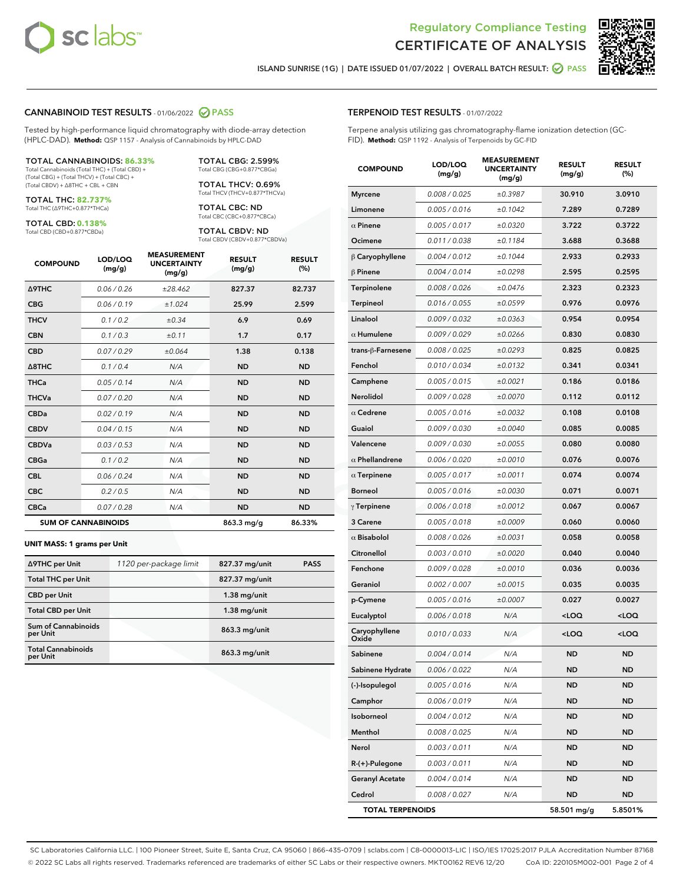



ISLAND SUNRISE (1G) | DATE ISSUED 01/07/2022 | OVERALL BATCH RESULT: **○** PASS

#### CANNABINOID TEST RESULTS - 01/06/2022 2 PASS

Tested by high-performance liquid chromatography with diode-array detection (HPLC-DAD). **Method:** QSP 1157 - Analysis of Cannabinoids by HPLC-DAD

#### TOTAL CANNABINOIDS: **86.33%**

Total Cannabinoids (Total THC) + (Total CBD) + (Total CBG) + (Total THCV) + (Total CBC) + (Total CBDV) + ∆8THC + CBL + CBN

TOTAL THC: **82.737%** Total THC (∆9THC+0.877\*THCa)

TOTAL CBD: **0.138%**

Total CBD (CBD+0.877\*CBDa)

TOTAL CBG: 2.599% Total CBG (CBG+0.877\*CBGa)

TOTAL THCV: 0.69% Total THCV (THCV+0.877\*THCVa)

TOTAL CBC: ND Total CBC (CBC+0.877\*CBCa)

TOTAL CBDV: ND Total CBDV (CBDV+0.877\*CBDVa)

| <b>COMPOUND</b>            | LOD/LOQ<br>(mg/g) | <b>MEASUREMENT</b><br><b>UNCERTAINTY</b><br>(mg/g) | <b>RESULT</b><br>(mg/g) | <b>RESULT</b><br>(%) |
|----------------------------|-------------------|----------------------------------------------------|-------------------------|----------------------|
| <b>A9THC</b>               | 0.06 / 0.26       | ±28.462                                            | 827.37                  | 82.737               |
| <b>CBG</b>                 | 0.06/0.19         | ±1.024                                             | 25.99                   | 2.599                |
| <b>THCV</b>                | 0.1 / 0.2         | $\pm 0.34$                                         | 6.9                     | 0.69                 |
| <b>CBN</b>                 | 0.1/0.3           | ±0.11                                              | 1.7                     | 0.17                 |
| <b>CBD</b>                 | 0.07/0.29         | ±0.064                                             | 1.38                    | 0.138                |
| $\triangle$ 8THC           | 0.1 / 0.4         | N/A                                                | <b>ND</b>               | <b>ND</b>            |
| <b>THCa</b>                | 0.05/0.14         | N/A                                                | <b>ND</b>               | <b>ND</b>            |
| <b>THCVa</b>               | 0.07/0.20         | N/A                                                | <b>ND</b>               | <b>ND</b>            |
| <b>CBDa</b>                | 0.02/0.19         | N/A                                                | <b>ND</b>               | <b>ND</b>            |
| <b>CBDV</b>                | 0.04/0.15         | N/A                                                | <b>ND</b>               | <b>ND</b>            |
| <b>CBDVa</b>               | 0.03/0.53         | N/A                                                | <b>ND</b>               | <b>ND</b>            |
| <b>CBGa</b>                | 0.1/0.2           | N/A                                                | <b>ND</b>               | <b>ND</b>            |
| <b>CBL</b>                 | 0.06 / 0.24       | N/A                                                | <b>ND</b>               | <b>ND</b>            |
| <b>CBC</b>                 | 0.2 / 0.5         | N/A                                                | <b>ND</b>               | <b>ND</b>            |
| <b>CBCa</b>                | 0.07 / 0.28       | N/A                                                | <b>ND</b>               | <b>ND</b>            |
| <b>SUM OF CANNABINOIDS</b> |                   |                                                    | 863.3 mg/g              | 86.33%               |

#### **UNIT MASS: 1 grams per Unit**

| ∆9THC per Unit                         | 1120 per-package limit | 827.37 mg/unit  | <b>PASS</b> |
|----------------------------------------|------------------------|-----------------|-------------|
| <b>Total THC per Unit</b>              |                        | 827.37 mg/unit  |             |
| <b>CBD per Unit</b>                    |                        | $1.38$ mg/unit  |             |
| <b>Total CBD per Unit</b>              |                        | $1.38$ mg/unit  |             |
| <b>Sum of Cannabinoids</b><br>per Unit |                        | 863.3 mg/unit   |             |
| <b>Total Cannabinoids</b><br>per Unit  |                        | $863.3$ mg/unit |             |

| <b>COMPOUND</b>         | LOD/LOQ<br>(mg/g) | <b>MEASUREMENT</b><br>UNCERTAINTY<br>(mg/g) | <b>RESULT</b><br>(mg/g)                          | <b>RESULT</b><br>(%) |
|-------------------------|-------------------|---------------------------------------------|--------------------------------------------------|----------------------|
| <b>Myrcene</b>          | 0.008 / 0.025     | ±0.3987                                     | 30.910                                           | 3.0910               |
| Limonene                | 0.005 / 0.016     | ±0.1042                                     | 7.289                                            | 0.7289               |
| $\alpha$ Pinene         | 0.005 / 0.017     | ±0.0320                                     | 3.722                                            | 0.3722               |
| Ocimene                 | 0.011 / 0.038     | ±0.1184                                     | 3.688                                            | 0.3688               |
| $\beta$ Caryophyllene   | 0.004 / 0.012     | ±0.1044                                     | 2.933                                            | 0.2933               |
| $\beta$ Pinene          | 0.004 / 0.014     | ±0.0298                                     | 2.595                                            | 0.2595               |
| Terpinolene             | 0.008 / 0.026     | ±0.0476                                     | 2.323                                            | 0.2323               |
| Terpineol               | 0.016 / 0.055     | ±0.0599                                     | 0.976                                            | 0.0976               |
| Linalool                | 0.009 / 0.032     | ±0.0363                                     | 0.954                                            | 0.0954               |
| $\alpha$ Humulene       | 0.009 / 0.029     | ±0.0266                                     | 0.830                                            | 0.0830               |
| trans-β-Farnesene       | 0.008 / 0.025     | ±0.0293                                     | 0.825                                            | 0.0825               |
| Fenchol                 | 0.010 / 0.034     | ±0.0132                                     | 0.341                                            | 0.0341               |
| Camphene                | 0.005 / 0.015     | ±0.0021                                     | 0.186                                            | 0.0186               |
| Nerolidol               | 0.009 / 0.028     | ±0.0070                                     | 0.112                                            | 0.0112               |
| $\alpha$ Cedrene        | 0.005 / 0.016     | ±0.0032                                     | 0.108                                            | 0.0108               |
| Guaiol                  | 0.009 / 0.030     | ±0.0040                                     | 0.085                                            | 0.0085               |
| Valencene               | 0.009 / 0.030     | ±0.0055                                     | 0.080                                            | 0.0080               |
| $\alpha$ Phellandrene   | 0.006 / 0.020     | ±0.0010                                     | 0.076                                            | 0.0076               |
| $\alpha$ Terpinene      | 0.005 / 0.017     | ±0.0011                                     | 0.074                                            | 0.0074               |
| <b>Borneol</b>          | 0.005 / 0.016     | ±0.0030                                     | 0.071                                            | 0.0071               |
| $\gamma$ Terpinene      | 0.006 / 0.018     | ±0.0012                                     | 0.067                                            | 0.0067               |
| 3 Carene                | 0.005 / 0.018     | ±0.0009                                     | 0.060                                            | 0.0060               |
| $\alpha$ Bisabolol      | 0.008 / 0.026     | ±0.0031                                     | 0.058                                            | 0.0058               |
| Citronellol             | 0.003 / 0.010     | ±0.0020                                     | 0.040                                            | 0.0040               |
| Fenchone                | 0.009 / 0.028     | ±0.0010                                     | 0.036                                            | 0.0036               |
| Geraniol                | 0.002 / 0.007     | ±0.0015                                     | 0.035                                            | 0.0035               |
| p-Cymene                | 0.005 / 0.016     | ±0.0007                                     | 0.027                                            | 0.0027               |
| Eucalyptol              | 0.006 / 0.018     | N/A                                         | <loq< th=""><th><math>&lt;</math>LOQ</th></loq<> | $<$ LOQ              |
| Caryophyllene<br>Oxide  | 0.010 / 0.033     | N/A                                         | <loq< th=""><th><loq< th=""></loq<></th></loq<>  | <loq< th=""></loq<>  |
| Sabinene                | 0.004 / 0.014     | N/A                                         | <b>ND</b>                                        | <b>ND</b>            |
| Sabinene Hydrate        | 0.006 / 0.022     | N/A                                         | ND                                               | ND                   |
| (-)-Isopulegol          | 0.005 / 0.016     | N/A                                         | ND                                               | ND                   |
| Camphor                 | 0.006 / 0.019     | N/A                                         | ND                                               | ND                   |
| Isoborneol              | 0.004 / 0.012     | N/A                                         | ND                                               | <b>ND</b>            |
| Menthol                 | 0.008 / 0.025     | N/A                                         | ND                                               | ND                   |
| Nerol                   | 0.003 / 0.011     | N/A                                         | ND                                               | ND                   |
| R-(+)-Pulegone          | 0.003 / 0.011     | N/A                                         | ND                                               | ND                   |
| <b>Geranyl Acetate</b>  | 0.004 / 0.014     | N/A                                         | ND                                               | ND                   |
| Cedrol                  | 0.008 / 0.027     | N/A                                         | ND                                               | ND                   |
| <b>TOTAL TERPENOIDS</b> |                   |                                             | 58.501 mg/g                                      | 5.8501%              |

SC Laboratories California LLC. | 100 Pioneer Street, Suite E, Santa Cruz, CA 95060 | 866-435-0709 | sclabs.com | C8-0000013-LIC | ISO/IES 17025:2017 PJLA Accreditation Number 87168 © 2022 SC Labs all rights reserved. Trademarks referenced are trademarks of either SC Labs or their respective owners. MKT00162 REV6 12/20 CoA ID: 220105M002-001 Page 2 of 4

# TERPENOID TEST RESULTS - 01/07/2022

Terpene analysis utilizing gas chromatography-flame ionization detection (GC-FID). **Method:** QSP 1192 - Analysis of Terpenoids by GC-FID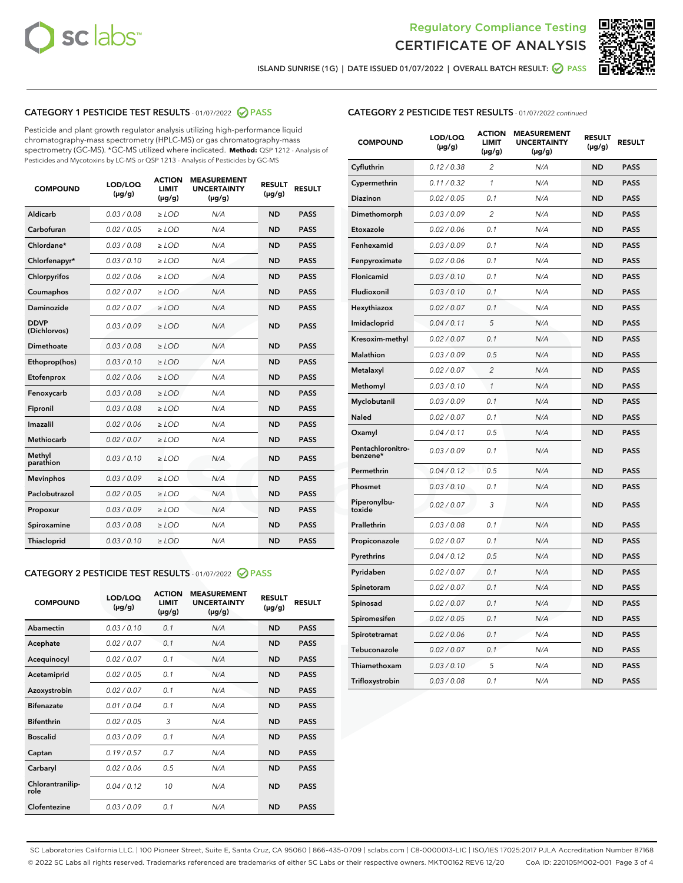



ISLAND SUNRISE (1G) | DATE ISSUED 01/07/2022 | OVERALL BATCH RESULT: **⊘** PASS

# CATEGORY 1 PESTICIDE TEST RESULTS - 01/07/2022 2 PASS

Pesticide and plant growth regulator analysis utilizing high-performance liquid chromatography-mass spectrometry (HPLC-MS) or gas chromatography-mass spectrometry (GC-MS). \*GC-MS utilized where indicated. **Method:** QSP 1212 - Analysis of Pesticides and Mycotoxins by LC-MS or QSP 1213 - Analysis of Pesticides by GC-MS

| <b>COMPOUND</b>             | LOD/LOQ<br>$(\mu g/g)$ | <b>ACTION</b><br><b>LIMIT</b><br>$(\mu g/g)$ | <b>MEASUREMENT</b><br><b>UNCERTAINTY</b><br>$(\mu g/g)$ | <b>RESULT</b><br>$(\mu g/g)$ | <b>RESULT</b> |
|-----------------------------|------------------------|----------------------------------------------|---------------------------------------------------------|------------------------------|---------------|
| Aldicarb                    | 0.03 / 0.08            | $\ge$ LOD                                    | N/A                                                     | <b>ND</b>                    | <b>PASS</b>   |
| Carbofuran                  | 0.02/0.05              | $>$ LOD                                      | N/A                                                     | <b>ND</b>                    | <b>PASS</b>   |
| Chlordane*                  | 0.03 / 0.08            | $\ge$ LOD                                    | N/A                                                     | <b>ND</b>                    | <b>PASS</b>   |
| Chlorfenapyr*               | 0.03/0.10              | $>$ LOD                                      | N/A                                                     | <b>ND</b>                    | <b>PASS</b>   |
| Chlorpyrifos                | 0.02 / 0.06            | $\ge$ LOD                                    | N/A                                                     | <b>ND</b>                    | <b>PASS</b>   |
| Coumaphos                   | 0.02 / 0.07            | $\ge$ LOD                                    | N/A                                                     | <b>ND</b>                    | <b>PASS</b>   |
| Daminozide                  | 0.02 / 0.07            | $\ge$ LOD                                    | N/A                                                     | <b>ND</b>                    | <b>PASS</b>   |
| <b>DDVP</b><br>(Dichlorvos) | 0.03/0.09              | $\ge$ LOD                                    | N/A                                                     | <b>ND</b>                    | <b>PASS</b>   |
| Dimethoate                  | 0.03/0.08              | $>$ LOD                                      | N/A                                                     | <b>ND</b>                    | <b>PASS</b>   |
| Ethoprop(hos)               | 0.03/0.10              | $\ge$ LOD                                    | N/A                                                     | <b>ND</b>                    | <b>PASS</b>   |
| Etofenprox                  | 0.02 / 0.06            | $\ge$ LOD                                    | N/A                                                     | <b>ND</b>                    | <b>PASS</b>   |
| Fenoxycarb                  | 0.03 / 0.08            | $\ge$ LOD                                    | N/A                                                     | <b>ND</b>                    | <b>PASS</b>   |
| Fipronil                    | 0.03/0.08              | $>$ LOD                                      | N/A                                                     | <b>ND</b>                    | <b>PASS</b>   |
| Imazalil                    | 0.02 / 0.06            | $\ge$ LOD                                    | N/A                                                     | <b>ND</b>                    | <b>PASS</b>   |
| Methiocarb                  | 0.02 / 0.07            | $\ge$ LOD                                    | N/A                                                     | <b>ND</b>                    | <b>PASS</b>   |
| Methyl<br>parathion         | 0.03/0.10              | $\ge$ LOD                                    | N/A                                                     | <b>ND</b>                    | <b>PASS</b>   |
| <b>Mevinphos</b>            | 0.03/0.09              | $>$ LOD                                      | N/A                                                     | <b>ND</b>                    | <b>PASS</b>   |
| Paclobutrazol               | 0.02 / 0.05            | $\ge$ LOD                                    | N/A                                                     | <b>ND</b>                    | <b>PASS</b>   |
| Propoxur                    | 0.03/0.09              | $\ge$ LOD                                    | N/A                                                     | <b>ND</b>                    | <b>PASS</b>   |
| Spiroxamine                 | 0.03 / 0.08            | $\ge$ LOD                                    | N/A                                                     | <b>ND</b>                    | <b>PASS</b>   |
| Thiacloprid                 | 0.03/0.10              | $\ge$ LOD                                    | N/A                                                     | <b>ND</b>                    | <b>PASS</b>   |

#### CATEGORY 2 PESTICIDE TEST RESULTS - 01/07/2022 2 PASS

| <b>COMPOUND</b>          | LOD/LOO<br>$(\mu g/g)$ | <b>ACTION</b><br>LIMIT<br>$(\mu g/g)$ | <b>MEASUREMENT</b><br><b>UNCERTAINTY</b><br>$(\mu g/g)$ | <b>RESULT</b><br>$(\mu g/g)$ | <b>RESULT</b> |  |
|--------------------------|------------------------|---------------------------------------|---------------------------------------------------------|------------------------------|---------------|--|
| Abamectin                | 0.03/0.10              | 0.1                                   | N/A                                                     | <b>ND</b>                    | <b>PASS</b>   |  |
| Acephate                 | 0.02/0.07              | 0.1                                   | N/A                                                     | <b>ND</b>                    | <b>PASS</b>   |  |
| Acequinocyl              | 0.02/0.07              | 0.1                                   | N/A                                                     | <b>ND</b>                    | <b>PASS</b>   |  |
| Acetamiprid              | 0.02/0.05              | 0.1                                   | N/A                                                     | <b>ND</b>                    | <b>PASS</b>   |  |
| Azoxystrobin             | 0.02/0.07              | 0.1                                   | N/A                                                     | <b>ND</b>                    | <b>PASS</b>   |  |
| <b>Bifenazate</b>        | 0.01 / 0.04            | 0.1                                   | N/A                                                     | <b>ND</b>                    | <b>PASS</b>   |  |
| <b>Bifenthrin</b>        | 0.02/0.05              | 3                                     | N/A                                                     | <b>ND</b>                    | <b>PASS</b>   |  |
| <b>Boscalid</b>          | 0.03/0.09              | 0.1                                   | N/A                                                     | <b>ND</b>                    | <b>PASS</b>   |  |
| Captan                   | 0.19/0.57              | 0.7                                   | N/A                                                     | <b>ND</b>                    | <b>PASS</b>   |  |
| Carbaryl                 | 0.02/0.06              | 0.5                                   | N/A                                                     | <b>ND</b>                    | <b>PASS</b>   |  |
| Chlorantranilip-<br>role | 0.04/0.12              | 10                                    | N/A                                                     | <b>ND</b>                    | <b>PASS</b>   |  |
| Clofentezine             | 0.03/0.09              | 0.1                                   | N/A                                                     | <b>ND</b>                    | <b>PASS</b>   |  |

| <b>CATEGORY 2 PESTICIDE TEST RESULTS</b> - 01/07/2022 continued |  |  |
|-----------------------------------------------------------------|--|--|
|                                                                 |  |  |

| <b>COMPOUND</b>               | LOD/LOQ<br>$(\mu g/g)$ | <b>ACTION</b><br>LIMIT<br>(µg/g) | <b>MEASUREMENT</b><br><b>UNCERTAINTY</b><br>(µg/g) | <b>RESULT</b><br>$(\mu g/g)$ | <b>RESULT</b> |
|-------------------------------|------------------------|----------------------------------|----------------------------------------------------|------------------------------|---------------|
| Cyfluthrin                    | 0.12 / 0.38            | $\overline{2}$                   | N/A                                                | <b>ND</b>                    | <b>PASS</b>   |
| Cypermethrin                  | 0.11/0.32              | 1                                | N/A                                                | <b>ND</b>                    | <b>PASS</b>   |
| Diazinon                      | 0.02 / 0.05            | 0.1                              | N/A                                                | <b>ND</b>                    | <b>PASS</b>   |
| Dimethomorph                  | 0.03 / 0.09            | $\overline{2}$                   | N/A                                                | <b>ND</b>                    | <b>PASS</b>   |
| Etoxazole                     | 0.02 / 0.06            | 0.1                              | N/A                                                | <b>ND</b>                    | <b>PASS</b>   |
| Fenhexamid                    | 0.03 / 0.09            | 0.1                              | N/A                                                | <b>ND</b>                    | <b>PASS</b>   |
| Fenpyroximate                 | 0.02 / 0.06            | 0.1                              | N/A                                                | <b>ND</b>                    | <b>PASS</b>   |
| Flonicamid                    | 0.03 / 0.10            | 0.1                              | N/A                                                | <b>ND</b>                    | <b>PASS</b>   |
| Fludioxonil                   | 0.03 / 0.10            | 0.1                              | N/A                                                | <b>ND</b>                    | <b>PASS</b>   |
| Hexythiazox                   | 0.02 / 0.07            | 0.1                              | N/A                                                | <b>ND</b>                    | <b>PASS</b>   |
| Imidacloprid                  | 0.04 / 0.11            | 5                                | N/A                                                | <b>ND</b>                    | <b>PASS</b>   |
| Kresoxim-methyl               | 0.02 / 0.07            | 0.1                              | N/A                                                | <b>ND</b>                    | <b>PASS</b>   |
| Malathion                     | 0.03 / 0.09            | 0.5                              | N/A                                                | <b>ND</b>                    | <b>PASS</b>   |
| Metalaxyl                     | 0.02 / 0.07            | $\overline{c}$                   | N/A                                                | <b>ND</b>                    | <b>PASS</b>   |
| Methomyl                      | 0.03 / 0.10            | 1                                | N/A                                                | <b>ND</b>                    | <b>PASS</b>   |
| Myclobutanil                  | 0.03 / 0.09            | 0.1                              | N/A                                                | <b>ND</b>                    | <b>PASS</b>   |
| Naled                         | 0.02 / 0.07            | 0.1                              | N/A                                                | <b>ND</b>                    | <b>PASS</b>   |
| Oxamyl                        | 0.04 / 0.11            | 0.5                              | N/A                                                | ND                           | <b>PASS</b>   |
| Pentachloronitro-<br>benzene* | 0.03 / 0.09            | 0.1                              | N/A                                                | <b>ND</b>                    | <b>PASS</b>   |
| Permethrin                    | 0.04/0.12              | 0.5                              | N/A                                                | <b>ND</b>                    | <b>PASS</b>   |
| Phosmet                       | 0.03 / 0.10            | 0.1                              | N/A                                                | <b>ND</b>                    | <b>PASS</b>   |
| Piperonylbu-<br>toxide        | 0.02 / 0.07            | 3                                | N/A                                                | <b>ND</b>                    | <b>PASS</b>   |
| Prallethrin                   | 0.03 / 0.08            | 0.1                              | N/A                                                | <b>ND</b>                    | <b>PASS</b>   |
| Propiconazole                 | 0.02 / 0.07            | 0.1                              | N/A                                                | <b>ND</b>                    | <b>PASS</b>   |
| Pyrethrins                    | 0.04 / 0.12            | 0.5                              | N/A                                                | <b>ND</b>                    | <b>PASS</b>   |
| Pyridaben                     | 0.02 / 0.07            | 0.1                              | N/A                                                | <b>ND</b>                    | <b>PASS</b>   |
| Spinetoram                    | 0.02 / 0.07            | 0.1                              | N/A                                                | <b>ND</b>                    | <b>PASS</b>   |
| Spinosad                      | 0.02 / 0.07            | 0.1                              | N/A                                                | <b>ND</b>                    | <b>PASS</b>   |
| Spiromesifen                  | 0.02 / 0.05            | 0.1                              | N/A                                                | ND                           | <b>PASS</b>   |
| Spirotetramat                 | 0.02 / 0.06            | 0.1                              | N/A                                                | <b>ND</b>                    | <b>PASS</b>   |
| Tebuconazole                  | 0.02 / 0.07            | 0.1                              | N/A                                                | <b>ND</b>                    | <b>PASS</b>   |
| Thiamethoxam                  | 0.03 / 0.10            | 5                                | N/A                                                | <b>ND</b>                    | <b>PASS</b>   |
| Trifloxystrobin               | 0.03 / 0.08            | 0.1                              | N/A                                                | <b>ND</b>                    | <b>PASS</b>   |

SC Laboratories California LLC. | 100 Pioneer Street, Suite E, Santa Cruz, CA 95060 | 866-435-0709 | sclabs.com | C8-0000013-LIC | ISO/IES 17025:2017 PJLA Accreditation Number 87168 © 2022 SC Labs all rights reserved. Trademarks referenced are trademarks of either SC Labs or their respective owners. MKT00162 REV6 12/20 CoA ID: 220105M002-001 Page 3 of 4